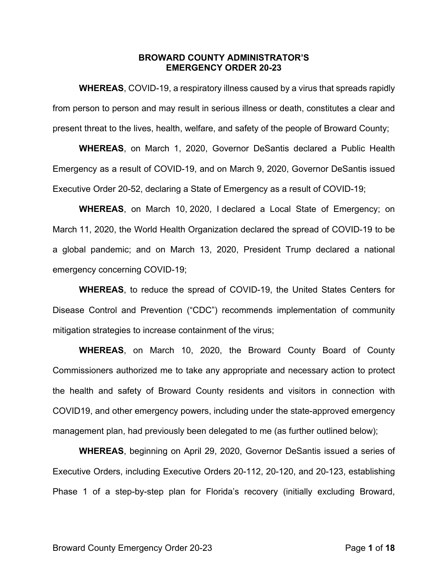### **BROWARD COUNTY ADMINISTRATOR'S EMERGENCY ORDER 20-23**

**WHEREAS**, COVID-19, a respiratory illness caused by a virus that spreads rapidly from person to person and may result in serious illness or death, constitutes a clear and present threat to the lives, health, welfare, and safety of the people of Broward County;

**WHEREAS**, on March 1, 2020, Governor DeSantis declared a Public Health Emergency as a result of COVID-19, and on March 9, 2020, Governor DeSantis issued Executive Order 20-52, declaring a State of Emergency as a result of COVID-19;

**WHEREAS**, on March 10, 2020, I declared a Local State of Emergency; on March 11, 2020, the World Health Organization declared the spread of COVID-19 to be a global pandemic; and on March 13, 2020, President Trump declared a national emergency concerning COVID-19;

**WHEREAS**, to reduce the spread of COVID-19, the United States Centers for Disease Control and Prevention ("CDC") recommends implementation of community mitigation strategies to increase containment of the virus;

**WHEREAS**, on March 10, 2020, the Broward County Board of County Commissioners authorized me to take any appropriate and necessary action to protect the health and safety of Broward County residents and visitors in connection with COVID19, and other emergency powers, including under the state-approved emergency management plan, had previously been delegated to me (as further outlined below);

**WHEREAS**, beginning on April 29, 2020, Governor DeSantis issued a series of Executive Orders, including Executive Orders 20-112, 20-120, and 20-123, establishing Phase 1 of a step-by-step plan for Florida's recovery (initially excluding Broward,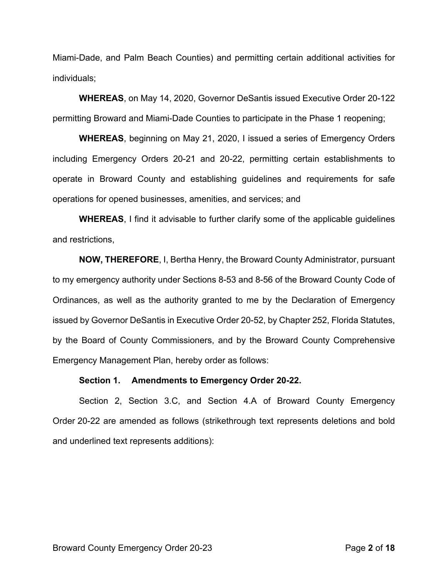Miami-Dade, and Palm Beach Counties) and permitting certain additional activities for individuals;

**WHEREAS**, on May 14, 2020, Governor DeSantis issued Executive Order 20-122 permitting Broward and Miami-Dade Counties to participate in the Phase 1 reopening;

**WHEREAS**, beginning on May 21, 2020, I issued a series of Emergency Orders including Emergency Orders 20-21 and 20-22, permitting certain establishments to operate in Broward County and establishing guidelines and requirements for safe operations for opened businesses, amenities, and services; and

**WHEREAS**, I find it advisable to further clarify some of the applicable guidelines and restrictions,

**NOW, THEREFORE**, I, Bertha Henry, the Broward County Administrator, pursuant to my emergency authority under Sections 8-53 and 8-56 of the Broward County Code of Ordinances, as well as the authority granted to me by the Declaration of Emergency issued by Governor DeSantis in Executive Order 20-52, by Chapter 252, Florida Statutes, by the Board of County Commissioners, and by the Broward County Comprehensive Emergency Management Plan, hereby order as follows:

#### **Section 1. Amendments to Emergency Order 20-22.**

Section 2, Section 3.C, and Section 4.A of Broward County Emergency Order 20-22 are amended as follows (strikethrough text represents deletions and bold and underlined text represents additions):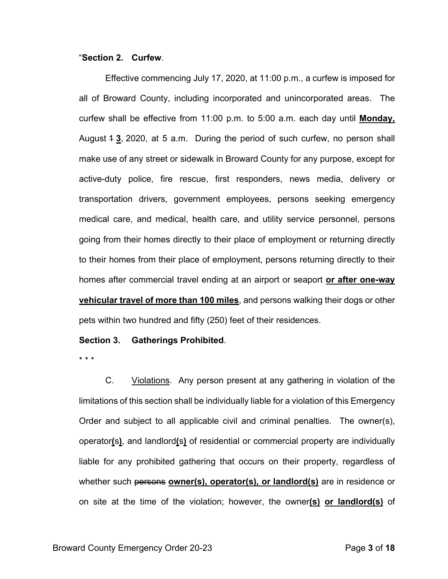### "**Section 2. Curfew**.

Effective commencing July 17, 2020, at 11:00 p.m., a curfew is imposed for all of Broward County, including incorporated and unincorporated areas. The curfew shall be effective from 11:00 p.m. to 5:00 a.m. each day until **Monday,** August 1 **3**, 2020, at 5 a.m. During the period of such curfew, no person shall make use of any street or sidewalk in Broward County for any purpose, except for active-duty police, fire rescue, first responders, news media, delivery or transportation drivers, government employees, persons seeking emergency medical care, and medical, health care, and utility service personnel, persons going from their homes directly to their place of employment or returning directly to their homes from their place of employment, persons returning directly to their homes after commercial travel ending at an airport or seaport **or after one-way vehicular travel of more than 100 miles**, and persons walking their dogs or other pets within two hundred and fifty (250) feet of their residences.

### **Section 3. Gatherings Prohibited**.

\* \* \*

C. Violations. Any person present at any gathering in violation of the limitations of this section shall be individually liable for a violation of this Emergency Order and subject to all applicable civil and criminal penalties. The owner(s), operator**(**s**)**, and landlord**(**s**)** of residential or commercial property are individually liable for any prohibited gathering that occurs on their property, regardless of whether such persons **owner(s), operator(s), or landlord(s)** are in residence or on site at the time of the violation; however, the owner**(s) or landlord(s)** of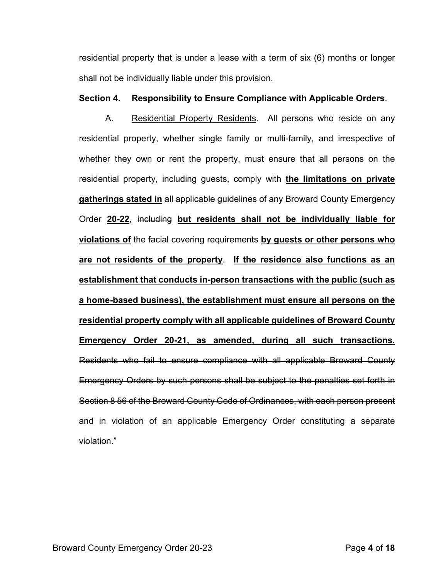residential property that is under a lease with a term of six (6) months or longer shall not be individually liable under this provision.

## **Section 4. Responsibility to Ensure Compliance with Applicable Orders**.

A. Residential Property Residents. All persons who reside on any residential property, whether single family or multi-family, and irrespective of whether they own or rent the property, must ensure that all persons on the residential property, including guests, comply with **the limitations on private gatherings stated in** all applicable guidelines of any Broward County Emergency Order **20-22**, including **but residents shall not be individually liable for violations of** the facial covering requirements **by guests or other persons who are not residents of the property**. **If the residence also functions as an establishment that conducts in-person transactions with the public (such as a home-based business), the establishment must ensure all persons on the residential property comply with all applicable guidelines of Broward County Emergency Order 20-21, as amended, during all such transactions.** Residents who fail to ensure compliance with all applicable Broward County Emergency Orders by such persons shall be subject to the penalties set forth in Section 8 56 of the Broward County Code of Ordinances, with each person present and in violation of an applicable Emergency Order constituting a separate violation."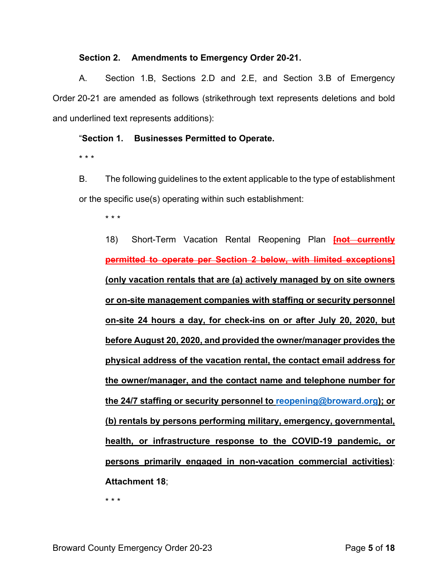### **Section 2. Amendments to Emergency Order 20-21.**

A. Section 1.B, Sections 2.D and 2.E, and Section 3.B of Emergency Order 20-21 are amended as follows (strikethrough text represents deletions and bold and underlined text represents additions):

## "**Section 1. Businesses Permitted to Operate.**

\* \* \*

B. The following guidelines to the extent applicable to the type of establishment or the specific use(s) operating within such establishment:

\* \* \*

18) Short-Term Vacation Rental Reopening Plan **[not currently permitted to operate per Section 2 below, with limited exceptions] (only vacation rentals that are (a) actively managed by on site owners or on-site management companies with staffing or security personnel on-site 24 hours a day, for check-ins on or after July 20, 2020, but before August 20, 2020, and provided the owner/manager provides the physical address of the vacation rental, the contact email address for the owner/manager, and the contact name and telephone number for the 24/7 staffing or security personnel to [reopening@broward.org\)](mailto:reopening@broward.org); or (b) rentals by persons performing military, emergency, governmental, health, or infrastructure response to the COVID-19 pandemic, or persons primarily engaged in non-vacation commercial activities)**: **Attachment 18**;

\* \* \*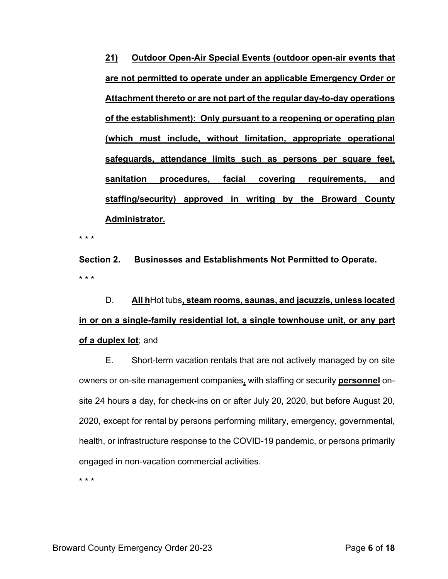**21) Outdoor Open-Air Special Events (outdoor open-air events that are not permitted to operate under an applicable Emergency Order or Attachment thereto or are not part of the regular day-to-day operations of the establishment): Only pursuant to a reopening or operating plan (which must include, without limitation, appropriate operational safeguards, attendance limits such as persons per square feet, sanitation procedures, facial covering requirements, and staffing/security) approved in writing by the Broward County Administrator.**

\* \* \*

**Section 2. Businesses and Establishments Not Permitted to Operate.** \* \* \*

D. **All h**Hot tubs**, steam rooms, saunas, and jacuzzis, unless located in or on a single-family residential lot, a single townhouse unit, or any part of a duplex lot**; and

E. Short-term vacation rentals that are not actively managed by on site owners or on-site management companies**,** with staffing or security **personnel** onsite 24 hours a day, for check-ins on or after July 20, 2020, but before August 20, 2020, except for rental by persons performing military, emergency, governmental, health, or infrastructure response to the COVID-19 pandemic, or persons primarily engaged in non-vacation commercial activities.

\* \* \*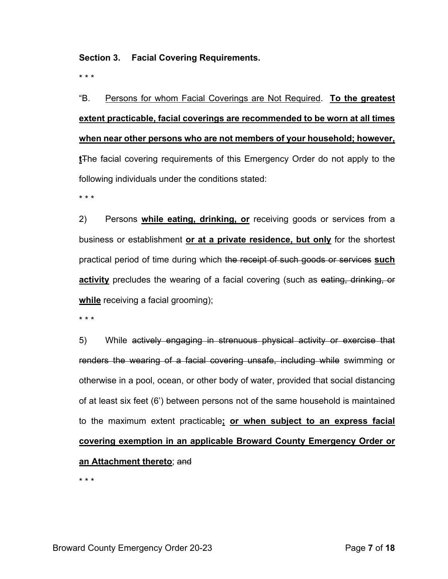## **Section 3. Facial Covering Requirements.**

\* \* \*

"B. Persons for whom Facial Coverings are Not Required. **To the greatest extent practicable, facial coverings are recommended to be worn at all times when near other persons who are not members of your household; however, t**The facial covering requirements of this Emergency Order do not apply to the following individuals under the conditions stated:

\* \* \*

2) Persons **while eating, drinking, or** receiving goods or services from a business or establishment **or at a private residence, but only** for the shortest practical period of time during which the receipt of such goods or services **such activity** precludes the wearing of a facial covering (such as eating, drinking, or **while** receiving a facial grooming);

\* \* \*

5) While actively engaging in strenuous physical activity or exercise that renders the wearing of a facial covering unsafe, including while swimming or otherwise in a pool, ocean, or other body of water, provided that social distancing of at least six feet (6') between persons not of the same household is maintained to the maximum extent practicable**; or when subject to an express facial covering exemption in an applicable Broward County Emergency Order or an Attachment thereto**; and

\* \* \*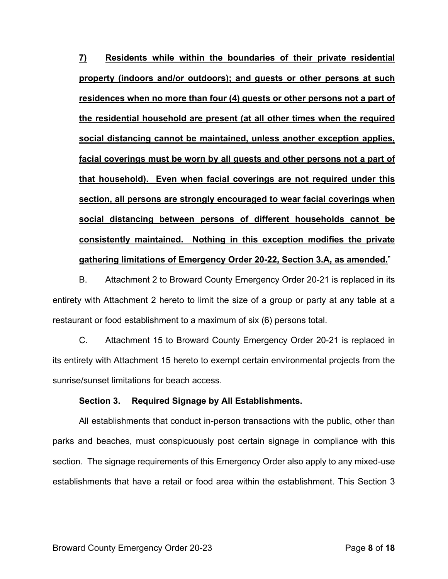**7) Residents while within the boundaries of their private residential property (indoors and/or outdoors); and guests or other persons at such residences when no more than four (4) guests or other persons not a part of the residential household are present (at all other times when the required social distancing cannot be maintained, unless another exception applies, facial coverings must be worn by all guests and other persons not a part of that household). Even when facial coverings are not required under this section, all persons are strongly encouraged to wear facial coverings when social distancing between persons of different households cannot be consistently maintained. Nothing in this exception modifies the private gathering limitations of Emergency Order 20-22, Section 3.A, as amended.**"

B. Attachment 2 to Broward County Emergency Order 20-21 is replaced in its entirety with Attachment 2 hereto to limit the size of a group or party at any table at a restaurant or food establishment to a maximum of six (6) persons total.

C. Attachment 15 to Broward County Emergency Order 20-21 is replaced in its entirety with Attachment 15 hereto to exempt certain environmental projects from the sunrise/sunset limitations for beach access.

### **Section 3. Required Signage by All Establishments.**

All establishments that conduct in-person transactions with the public, other than parks and beaches, must conspicuously post certain signage in compliance with this section. The signage requirements of this Emergency Order also apply to any mixed-use establishments that have a retail or food area within the establishment. This Section 3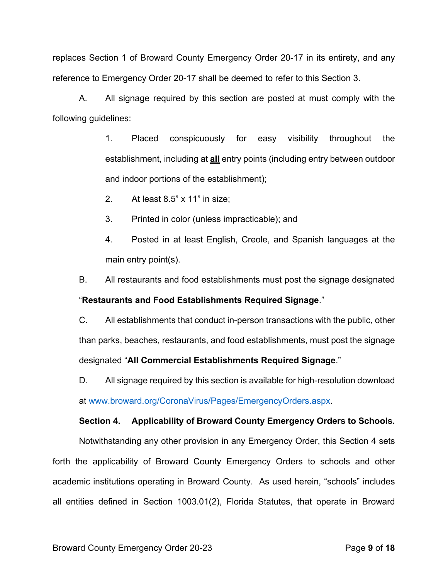replaces Section 1 of Broward County Emergency Order 20-17 in its entirety, and any reference to Emergency Order 20-17 shall be deemed to refer to this Section 3.

A. All signage required by this section are posted at must comply with the following guidelines:

> 1. Placed conspicuously for easy visibility throughout the establishment, including at **all** entry points (including entry between outdoor and indoor portions of the establishment);

2. At least 8.5" x 11" in size;

3. Printed in color (unless impracticable); and

4. Posted in at least English, Creole, and Spanish languages at the main entry point(s).

B. All restaurants and food establishments must post the signage designated

## "**Restaurants and Food Establishments Required Signage**."

C. All establishments that conduct in-person transactions with the public, other than parks, beaches, restaurants, and food establishments, must post the signage designated "**All Commercial Establishments Required Signage**."

D. All signage required by this section is available for high-resolution download at [www.broward.org/CoronaVirus/Pages/EmergencyOrders.aspx.](https://www.broward.org/CoronaVirus/Pages/EmergencyOrders.aspx)

# **Section 4. Applicability of Broward County Emergency Orders to Schools.**

Notwithstanding any other provision in any Emergency Order, this Section 4 sets forth the applicability of Broward County Emergency Orders to schools and other academic institutions operating in Broward County. As used herein, "schools" includes all entities defined in Section 1003.01(2), Florida Statutes, that operate in Broward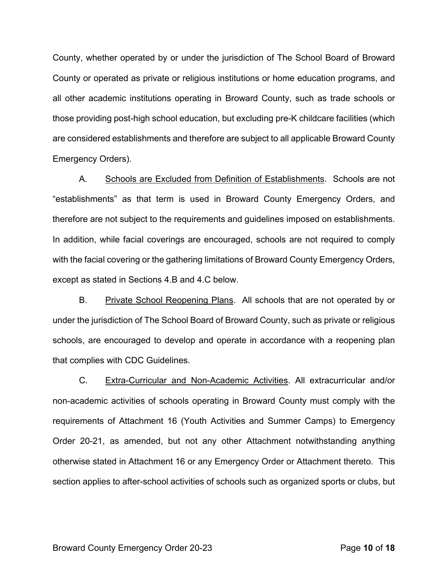County, whether operated by or under the jurisdiction of The School Board of Broward County or operated as private or religious institutions or home education programs, and all other academic institutions operating in Broward County, such as trade schools or those providing post-high school education, but excluding pre-K childcare facilities (which are considered establishments and therefore are subject to all applicable Broward County Emergency Orders).

A. Schools are Excluded from Definition of Establishments. Schools are not "establishments" as that term is used in Broward County Emergency Orders, and therefore are not subject to the requirements and guidelines imposed on establishments. In addition, while facial coverings are encouraged, schools are not required to comply with the facial covering or the gathering limitations of Broward County Emergency Orders, except as stated in Sections 4.B and 4.C below.

B. Private School Reopening Plans. All schools that are not operated by or under the jurisdiction of The School Board of Broward County, such as private or religious schools, are encouraged to develop and operate in accordance with a reopening plan that complies with CDC Guidelines.

C. Extra-Curricular and Non-Academic Activities. All extracurricular and/or non-academic activities of schools operating in Broward County must comply with the requirements of Attachment 16 (Youth Activities and Summer Camps) to Emergency Order 20-21, as amended, but not any other Attachment notwithstanding anything otherwise stated in Attachment 16 or any Emergency Order or Attachment thereto. This section applies to after-school activities of schools such as organized sports or clubs, but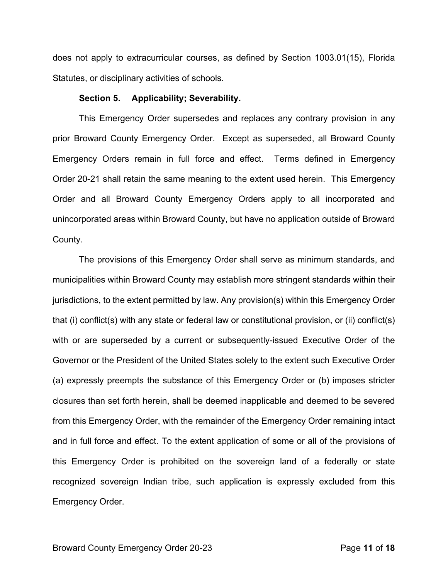does not apply to extracurricular courses, as defined by Section 1003.01(15), Florida Statutes, or disciplinary activities of schools.

#### **Section 5. Applicability; Severability.**

This Emergency Order supersedes and replaces any contrary provision in any prior Broward County Emergency Order. Except as superseded, all Broward County Emergency Orders remain in full force and effect. Terms defined in Emergency Order 20-21 shall retain the same meaning to the extent used herein. This Emergency Order and all Broward County Emergency Orders apply to all incorporated and unincorporated areas within Broward County, but have no application outside of Broward County.

The provisions of this Emergency Order shall serve as minimum standards, and municipalities within Broward County may establish more stringent standards within their jurisdictions, to the extent permitted by law. Any provision(s) within this Emergency Order that (i) conflict(s) with any state or federal law or constitutional provision, or (ii) conflict(s) with or are superseded by a current or subsequently-issued Executive Order of the Governor or the President of the United States solely to the extent such Executive Order (a) expressly preempts the substance of this Emergency Order or (b) imposes stricter closures than set forth herein, shall be deemed inapplicable and deemed to be severed from this Emergency Order, with the remainder of the Emergency Order remaining intact and in full force and effect. To the extent application of some or all of the provisions of this Emergency Order is prohibited on the sovereign land of a federally or state recognized sovereign Indian tribe, such application is expressly excluded from this Emergency Order.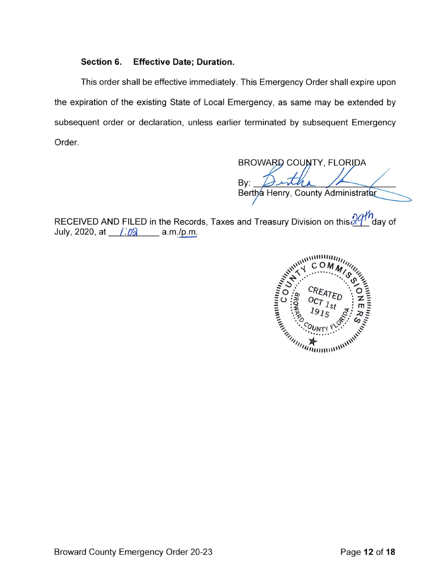## **Section 6. Effective Date; Duration.**

This order shall be effective immediately. This Emergency Order shall expire upon the expiration of the existing State of Local Emergency, as same may be extended by subsequent order or declaration, unless earlier terminated by subsequent Emergency Order.

BROWARD COUNTY, FLORIDA By: Bertha Henry, County Administrator

RECEIVED AND FILED in the Records, Taxes and Treasury Division on this  $\frac{\partial q^{th}}{\partial q^{th}}$  day of July, 2020, at */:0*<sup>2</sup> \_\_ a.m./p.m.

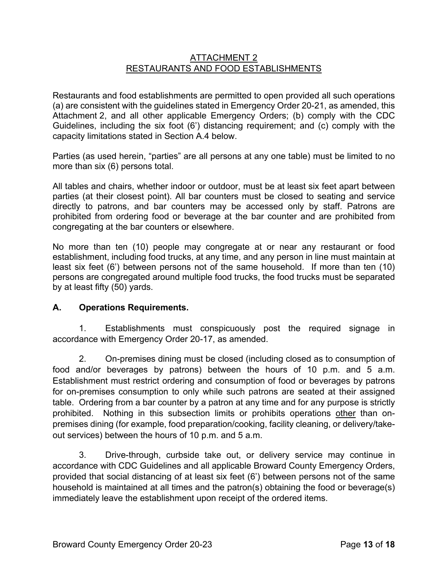# ATTACHMENT 2 RESTAURANTS AND FOOD ESTABLISHMENTS

Restaurants and food establishments are permitted to open provided all such operations (a) are consistent with the guidelines stated in Emergency Order 20-21, as amended, this Attachment 2, and all other applicable Emergency Orders; (b) comply with the CDC Guidelines, including the six foot (6') distancing requirement; and (c) comply with the capacity limitations stated in Section A.4 below.

Parties (as used herein, "parties" are all persons at any one table) must be limited to no more than six (6) persons total.

All tables and chairs, whether indoor or outdoor, must be at least six feet apart between parties (at their closest point). All bar counters must be closed to seating and service directly to patrons, and bar counters may be accessed only by staff. Patrons are prohibited from ordering food or beverage at the bar counter and are prohibited from congregating at the bar counters or elsewhere.

No more than ten (10) people may congregate at or near any restaurant or food establishment, including food trucks, at any time, and any person in line must maintain at least six feet (6') between persons not of the same household. If more than ten (10) persons are congregated around multiple food trucks, the food trucks must be separated by at least fifty (50) yards.

# **A. Operations Requirements.**

1. Establishments must conspicuously post the required signage in accordance with Emergency Order 20-17, as amended.

2. On-premises dining must be closed (including closed as to consumption of food and/or beverages by patrons) between the hours of 10 p.m. and 5 a.m. Establishment must restrict ordering and consumption of food or beverages by patrons for on-premises consumption to only while such patrons are seated at their assigned table. Ordering from a bar counter by a patron at any time and for any purpose is strictly prohibited. Nothing in this subsection limits or prohibits operations other than onpremises dining (for example, food preparation/cooking, facility cleaning, or delivery/takeout services) between the hours of 10 p.m. and 5 a.m.

3. Drive-through, curbside take out, or delivery service may continue in accordance with CDC Guidelines and all applicable Broward County Emergency Orders, provided that social distancing of at least six feet (6') between persons not of the same household is maintained at all times and the patron(s) obtaining the food or beverage(s) immediately leave the establishment upon receipt of the ordered items.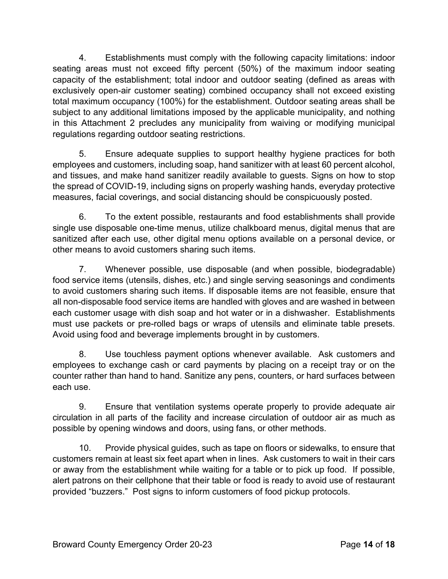4. Establishments must comply with the following capacity limitations: indoor seating areas must not exceed fifty percent (50%) of the maximum indoor seating capacity of the establishment; total indoor and outdoor seating (defined as areas with exclusively open-air customer seating) combined occupancy shall not exceed existing total maximum occupancy (100%) for the establishment. Outdoor seating areas shall be subject to any additional limitations imposed by the applicable municipality, and nothing in this Attachment 2 precludes any municipality from waiving or modifying municipal regulations regarding outdoor seating restrictions.

5. Ensure adequate supplies to support healthy hygiene practices for both employees and customers, including soap, hand sanitizer with at least 60 percent alcohol, and tissues, and make hand sanitizer readily available to guests. Signs on how to stop the spread of COVID-19, including signs on properly washing hands, everyday protective measures, facial coverings, and social distancing should be conspicuously posted.

6. To the extent possible, restaurants and food establishments shall provide single use disposable one-time menus, utilize chalkboard menus, digital menus that are sanitized after each use, other digital menu options available on a personal device, or other means to avoid customers sharing such items.

7. Whenever possible, use disposable (and when possible, biodegradable) food service items (utensils, dishes, etc.) and single serving seasonings and condiments to avoid customers sharing such items. If disposable items are not feasible, ensure that all non-disposable food service items are handled with gloves and are washed in between each customer usage with dish soap and hot water or in a dishwasher. Establishments must use packets or pre-rolled bags or wraps of utensils and eliminate table presets. Avoid using food and beverage implements brought in by customers.

8. Use touchless payment options whenever available. Ask customers and employees to exchange cash or card payments by placing on a receipt tray or on the counter rather than hand to hand. Sanitize any pens, counters, or hard surfaces between each use.

9. Ensure that ventilation systems operate properly to provide adequate air circulation in all parts of the facility and increase circulation of outdoor air as much as possible by opening windows and doors, using fans, or other methods.

10. Provide physical guides, such as tape on floors or sidewalks, to ensure that customers remain at least six feet apart when in lines. Ask customers to wait in their cars or away from the establishment while waiting for a table or to pick up food. If possible, alert patrons on their cellphone that their table or food is ready to avoid use of restaurant provided "buzzers." Post signs to inform customers of food pickup protocols.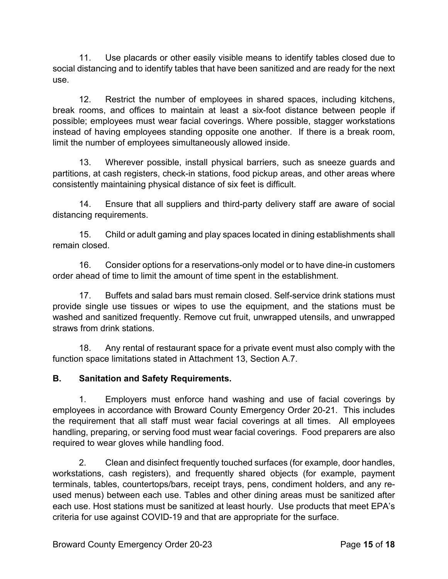11. Use placards or other easily visible means to identify tables closed due to social distancing and to identify tables that have been sanitized and are ready for the next use.

12. Restrict the number of employees in shared spaces, including kitchens, break rooms, and offices to maintain at least a six-foot distance between people if possible; employees must wear facial coverings. Where possible, stagger workstations instead of having employees standing opposite one another. If there is a break room, limit the number of employees simultaneously allowed inside.

13. Wherever possible, install physical barriers, such as sneeze guards and partitions, at cash registers, check-in stations, food pickup areas, and other areas where consistently maintaining physical distance of six feet is difficult.

14. Ensure that all suppliers and third-party delivery staff are aware of social distancing requirements.

15. Child or adult gaming and play spaces located in dining establishments shall remain closed.

16. Consider options for a reservations-only model or to have dine-in customers order ahead of time to limit the amount of time spent in the establishment.

17. Buffets and salad bars must remain closed. Self-service drink stations must provide single use tissues or wipes to use the equipment, and the stations must be washed and sanitized frequently. Remove cut fruit, unwrapped utensils, and unwrapped straws from drink stations.

18. Any rental of restaurant space for a private event must also comply with the function space limitations stated in Attachment 13, Section A.7.

# **B. Sanitation and Safety Requirements.**

1. Employers must enforce hand washing and use of facial coverings by employees in accordance with Broward County Emergency Order 20-21. This includes the requirement that all staff must wear facial coverings at all times. All employees handling, preparing, or serving food must wear facial coverings. Food preparers are also required to wear gloves while handling food.

2. Clean and disinfect frequently touched surfaces (for example, door handles, workstations, cash registers), and frequently shared objects (for example, payment terminals, tables, countertops/bars, receipt trays, pens, condiment holders, and any reused menus) between each use. Tables and other dining areas must be sanitized after each use. Host stations must be sanitized at least hourly. Use products that meet EPA's criteria for use against COVID-19 and that are appropriate for the surface.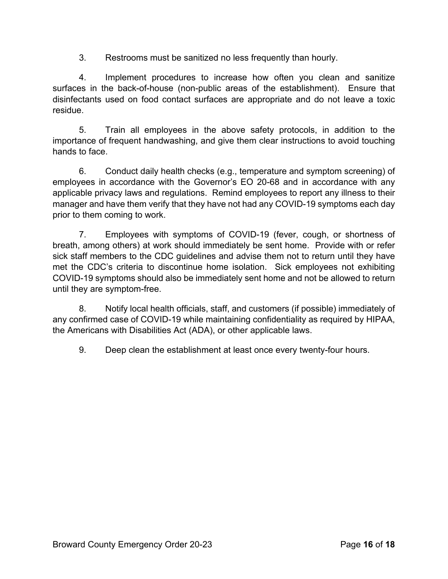3. Restrooms must be sanitized no less frequently than hourly.

4. Implement procedures to increase how often you clean and sanitize surfaces in the back-of-house (non-public areas of the establishment). Ensure that disinfectants used on food contact surfaces are appropriate and do not leave a toxic residue.

5. Train all employees in the above safety protocols, in addition to the importance of frequent handwashing, and give them clear instructions to avoid touching hands to face.

6. Conduct daily health checks (e.g., temperature and symptom screening) of employees in accordance with the Governor's EO 20-68 and in accordance with any applicable privacy laws and regulations. Remind employees to report any illness to their manager and have them verify that they have not had any COVID-19 symptoms each day prior to them coming to work.

7. Employees with symptoms of COVID-19 (fever, cough, or shortness of breath, among others) at work should immediately be sent home. Provide with or refer sick staff members to the CDC guidelines and advise them not to return until they have met the CDC's criteria to discontinue home isolation. Sick employees not exhibiting COVID-19 symptoms should also be immediately sent home and not be allowed to return until they are symptom-free.

8. Notify local health officials, staff, and customers (if possible) immediately of any confirmed case of COVID-19 while maintaining confidentiality as required by HIPAA, the Americans with Disabilities Act (ADA), or other applicable laws.

9. Deep clean the establishment at least once every twenty-four hours.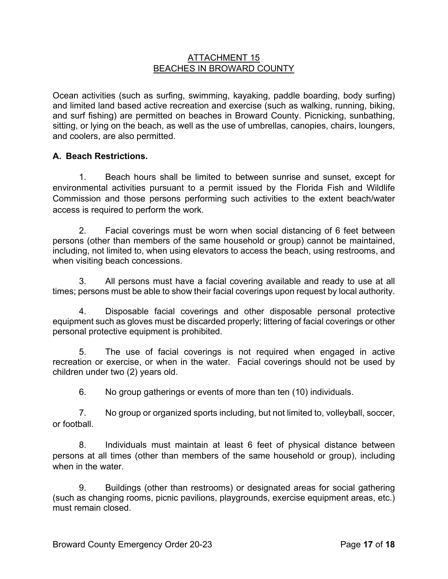## ATTACHMENT 15 BEACHES IN BROWARD COUNTY

Ocean activities (such as surfing, swimming, kayaking, paddle boarding, body surfing) and limited land based active recreation and exercise (such as walking, running, biking, and surf fishing) are permitted on beaches in Broward County. Picnicking, sunbathing, sitting, or lying on the beach, as well as the use of umbrellas, canopies, chairs, loungers, and coolers, are also permitted.

# **A. Beach Restrictions.**

1. Beach hours shall be limited to between sunrise and sunset, except for environmental activities pursuant to a permit issued by the Florida Fish and Wildlife Commission and those persons performing such activities to the extent beach/water access is required to perform the work.

2. Facial coverings must be worn when social distancing of 6 feet between persons (other than members of the same household or group) cannot be maintained, including, not limited to, when using elevators to access the beach, using restrooms, and when visiting beach concessions.

3. All persons must have a facial covering available and ready to use at all times; persons must be able to show their facial coverings upon request by local authority.

4. Disposable facial coverings and other disposable personal protective equipment such as gloves must be discarded properly; littering of facial coverings or other personal protective equipment is prohibited.

5. The use of facial coverings is not required when engaged in active recreation or exercise, or when in the water. Facial coverings should not be used by children under two (2) years old.

6. No group gatherings or events of more than ten (10) individuals.

7. No group or organized sports including, but not limited to, volleyball, soccer, or football.

8. Individuals must maintain at least 6 feet of physical distance between persons at all times (other than members of the same household or group), including when in the water.

9. Buildings (other than restrooms) or designated areas for social gathering (such as changing rooms, picnic pavilions, playgrounds, exercise equipment areas, etc.) must remain closed.